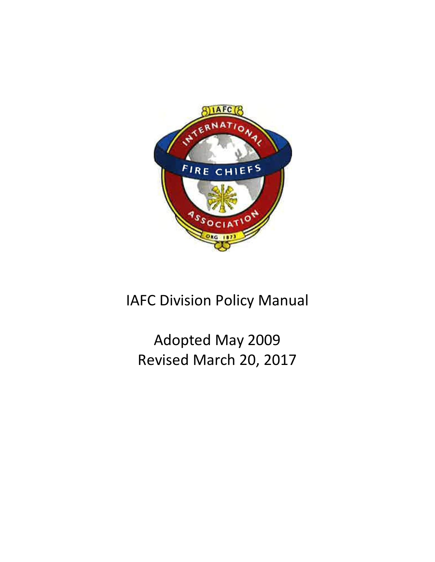

# IAFC Division Policy Manual

# Adopted May 2009 Revised March 20, 2017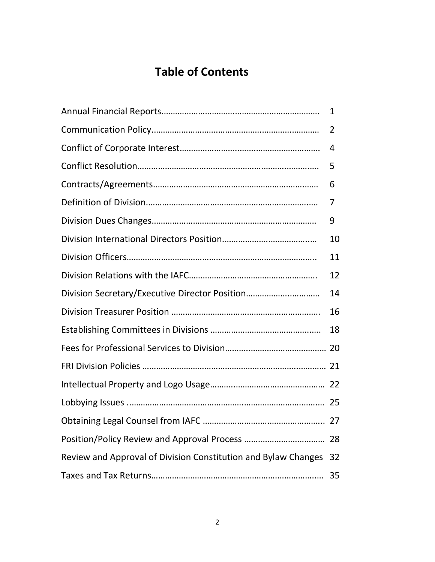## **Table of Contents**

|                                                                | $\mathbf{1}$ |
|----------------------------------------------------------------|--------------|
|                                                                | 2            |
|                                                                | 4            |
|                                                                | 5            |
|                                                                | 6            |
|                                                                | 7            |
|                                                                | 9            |
|                                                                | 10           |
|                                                                | 11           |
|                                                                | 12           |
| Division Secretary/Executive Director Position                 | 14           |
|                                                                | 16           |
|                                                                | 18           |
|                                                                |              |
|                                                                |              |
|                                                                |              |
|                                                                |              |
|                                                                |              |
|                                                                | 28           |
| Review and Approval of Division Constitution and Bylaw Changes | 32           |
|                                                                | 35           |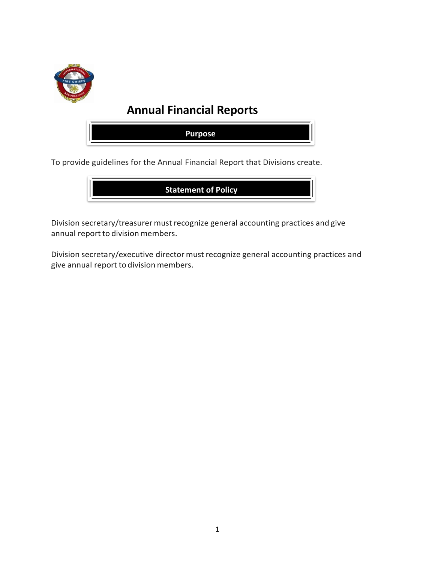

## **Annual Financial Reports**



To provide guidelines for the Annual Financial Report that Divisions create.



Division secretary/treasurer must recognize general accounting practices and give annual report to division members.

Division secretary/executive director must recognize general accounting practices and give annual report to division members.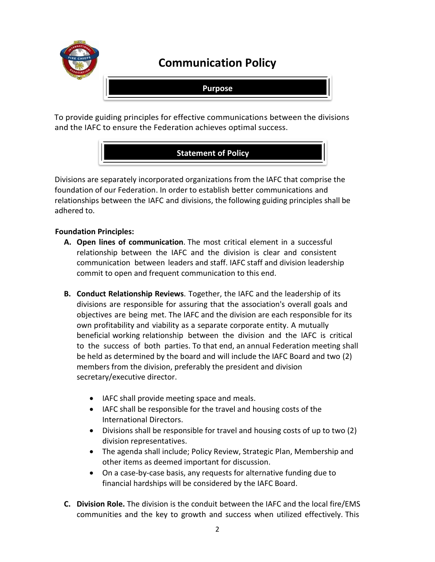

## **Communication Policy**

**Purpose**

To provide guiding principles for effective communications between the divisions and the IAFC to ensure the Federation achieves optimal success.

## **Statement of Policy**

Divisions are separately incorporated organizations from the IAFC that comprise the foundation of our Federation. In order to establish better communications and relationships between the IAFC and divisions, the following guiding principles shall be adhered to.

## **Foundation Principles:**

- **A. Open lines of communication**. The most critical element in a successful relationship between the IAFC and the division is clear and consistent communication between leaders and staff. IAFC staff and division leadership commit to open and frequent communication to this end.
- **B. Conduct Relationship Reviews**. Together, the IAFC and the leadership of its divisions are responsible for assuring that the association's overall goals and objectives are being met. The IAFC and the division are each responsible for its own profitability and viability as a separate corporate entity. A mutually beneficial working relationship between the division and the IAFC is critical to the success of both parties. To that end, an annual Federation meeting shall be held as determined by the board and will include the IAFC Board and two (2) members from the division, preferably the president and division secretary/executive director.
	- IAFC shall provide meeting space and meals.
	- IAFC shall be responsible for the travel and housing costs of the International Directors.
	- Divisions shall be responsible for travel and housing costs of up to two (2) division representatives.
	- The agenda shall include; Policy Review, Strategic Plan, Membership and other items as deemed important for discussion.
	- On a case-by-case basis, any requests for alternative funding due to financial hardships will be considered by the IAFC Board.
- **C. Division Role.** The division is the conduit between the IAFC and the local fire/EMS communities and the key to growth and success when utilized effectively. This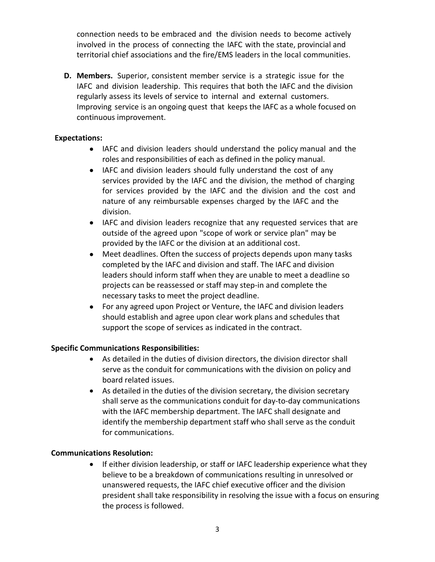connection needs to be embraced and the division needs to become actively involved in the process of connecting the IAFC with the state, provincial and territorial chief associations and the fire/EMS leaders in the local communities.

**D. Members.** Superior, consistent member service is a strategic issue for the IAFC and division leadership. This requires that both the IAFC and the division regularly assess its levels of service to internal and external customers. Improving service is an ongoing quest that keeps the IAFC as a whole focused on continuous improvement.

### **Expectations:**

- IAFC and division leaders should understand the policy manual and the roles and responsibilities of each as defined in the policy manual.
- IAFC and division leaders should fully understand the cost of any services provided by the IAFC and the division, the method of charging for services provided by the IAFC and the division and the cost and nature of any reimbursable expenses charged by the IAFC and the division.
- IAFC and division leaders recognize that any requested services that are outside of the agreed upon "scope of work or service plan" may be provided by the IAFC or the division at an additional cost.
- Meet deadlines. Often the success of projects depends upon many tasks completed by the IAFC and division and staff. The IAFC and division leaders should inform staff when they are unable to meet a deadline so projects can be reassessed or staff may step-in and complete the necessary tasks to meet the project deadline.
- For any agreed upon Project or Venture, the IAFC and division leaders should establish and agree upon clear work plans and schedules that support the scope of services as indicated in the contract.

#### **Specific Communications Responsibilities:**

- As detailed in the duties of division directors, the division director shall serve as the conduit for communications with the division on policy and board related issues.
- As detailed in the duties of the division secretary, the division secretary shall serve as the communications conduit for day-to-day communications with the IAFC membership department. The IAFC shall designate and identify the membership department staff who shall serve as the conduit for communications.

## **Communications Resolution:**

• If either division leadership, or staff or IAFC leadership experience what they believe to be a breakdown of communications resulting in unresolved or unanswered requests, the IAFC chief executive officer and the division president shall take responsibility in resolving the issue with a focus on ensuring the process is followed.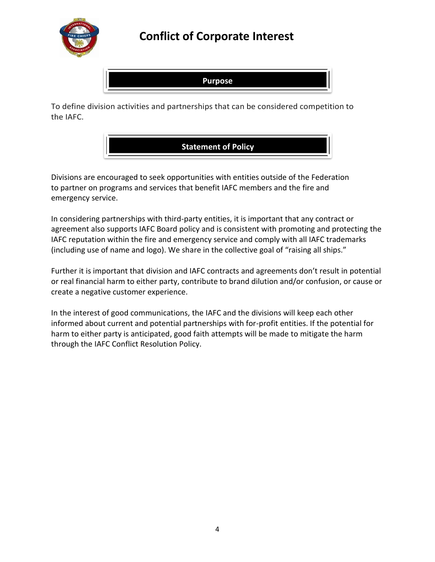

## **Conflict of Corporate Interest**



To define division activities and partnerships that can be considered competition to the IAFC.



Divisions are encouraged to seek opportunities with entities outside of the Federation to partner on programs and services that benefit IAFC members and the fire and emergency service.

In considering partnerships with third-party entities, it is important that any contract or agreement also supports IAFC Board policy and is consistent with promoting and protecting the IAFC reputation within the fire and emergency service and comply with all IAFC trademarks (including use of name and logo). We share in the collective goal of "raising all ships."

Further it is important that division and IAFC contracts and agreements don't result in potential or real financial harm to either party, contribute to brand dilution and/or confusion, or cause or create a negative customer experience.

In the interest of good communications, the IAFC and the divisions will keep each other informed about current and potential partnerships with for-profit entities. If the potential for harm to either party is anticipated, good faith attempts will be made to mitigate the harm through the IAFC Conflict Resolution Policy.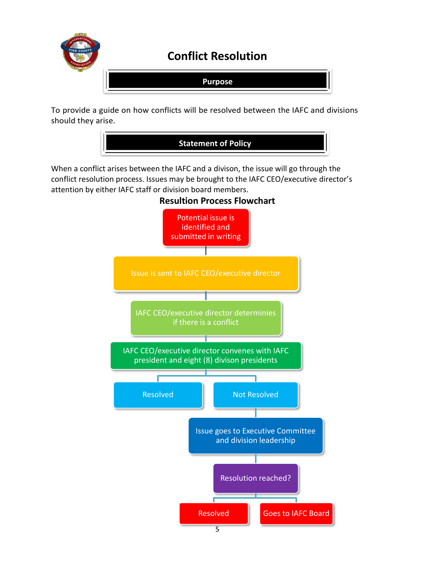

To provide a guide on how conflicts will be resolved between the IAFC and divisions should they arise.



When a conflict arises between the IAFC and a divison, the issue will go through the conflict resolution process. Issues may be brought to the IAFC CEO/executive director's attention by either IAFC staff or division board members.



**Resultion Process Flowchart**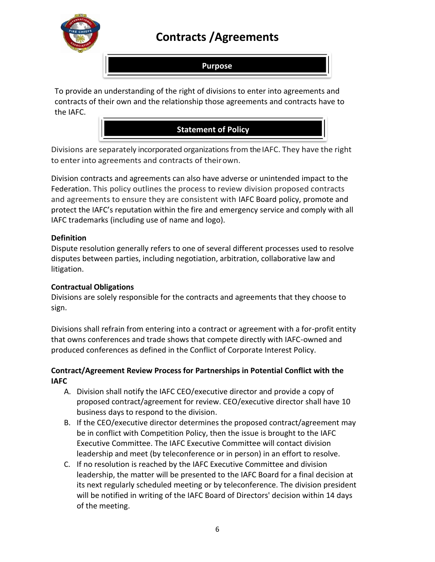

## **Contracts /Agreements**

## **Purpose**

To provide an understanding of the right of divisions to enter into agreements and contracts of their own and the relationship those agreements and contracts have to the IAFC.



Divisions are separately incorporated organizations from the IAFC. They have the right to enter into agreements and contracts of theirown.

Division contracts and agreements can also have adverse or unintended impact to the Federation. This policy outlines the process to review division proposed contracts and agreements to ensure they are consistent with IAFC Board policy, promote and protect the IAFC's reputation within the fire and emergency service and comply with all IAFC trademarks (including use of name and logo).

## **Definition**

Dispute resolution generally refers to one of several different processes used to resolve disputes between parties, including negotiation, arbitration, collaborative law and litigation.

## **Contractual Obligations**

Divisions are solely responsible for the contracts and agreements that they choose to sign.

Divisions shall refrain from entering into a contract or agreement with a for-profit entity that owns conferences and trade shows that compete directly with IAFC-owned and produced conferences as defined in the Conflict of Corporate Interest Policy.

## **Contract/Agreement Review Process for Partnerships in Potential Conflict with the IAFC**

- A. Division shall notify the IAFC CEO/executive director and provide a copy of proposed contract/agreement for review. CEO/executive director shall have 10 business days to respond to the division.
- B. If the CEO/executive director determines the proposed contract/agreement may be in conflict with Competition Policy, then the issue is brought to the IAFC Executive Committee. The IAFC Executive Committee will contact division leadership and meet (by teleconference or in person) in an effort to resolve.
- C. If no resolution is reached by the IAFC Executive Committee and division leadership, the matter will be presented to the IAFC Board for a final decision at its next regularly scheduled meeting or by teleconference. The division president will be notified in writing of the IAFC Board of Directors' decision within 14 days of the meeting.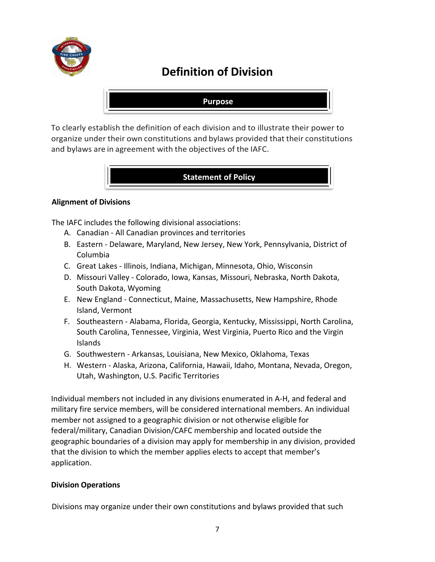

## **Definition of Division**

### **Purpose**

To clearly establish the definition of each division and to illustrate their power to organize under their own constitutions and bylaws provided that their constitutions and bylaws are in agreement with the objectives of the IAFC.

## **Statement of Policy**

### **Alignment of Divisions**

The IAFC includes the following divisional associations:

- A. Canadian All Canadian provinces and territories
- B. Eastern Delaware, Maryland, New Jersey, New York, Pennsylvania, District of Columbia
- C. Great Lakes Illinois, Indiana, Michigan, Minnesota, Ohio, Wisconsin
- D. Missouri Valley Colorado, Iowa, Kansas, Missouri, Nebraska, North Dakota, South Dakota, Wyoming
- E. New England Connecticut, Maine, Massachusetts, New Hampshire, Rhode Island, Vermont
- F. Southeastern Alabama, Florida, Georgia, Kentucky, Mississippi, North Carolina, South Carolina, Tennessee, Virginia, West Virginia, Puerto Rico and the Virgin Islands
- G. Southwestern Arkansas, Louisiana, New Mexico, Oklahoma, Texas
- H. Western Alaska, Arizona, California, Hawaii, Idaho, Montana, Nevada, Oregon, Utah, Washington, U.S. Pacific Territories

Individual members not included in any divisions enumerated in A-H, and federal and military fire service members, will be considered international members. An individual member not assigned to a geographic division or not otherwise eligible for federal/military, Canadian Division/CAFC membership and located outside the geographic boundaries of a division may apply for membership in any division, provided that the division to which the member applies elects to accept that member's application.

#### **Division Operations**

Divisions may organize under their own constitutions and bylaws provided that such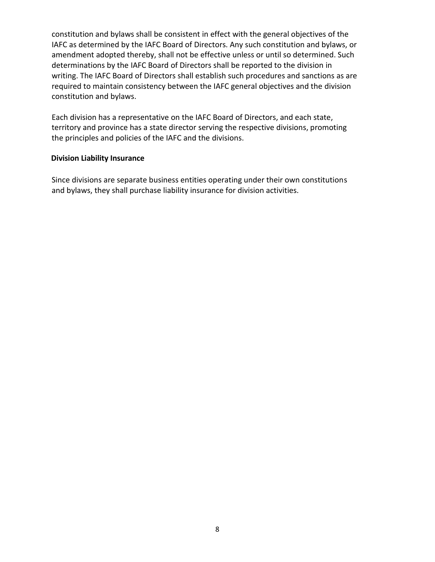constitution and bylaws shall be consistent in effect with the general objectives of the IAFC as determined by the IAFC Board of Directors. Any such constitution and bylaws, or amendment adopted thereby, shall not be effective unless or until so determined. Such determinations by the IAFC Board of Directors shall be reported to the division in writing. The IAFC Board of Directors shall establish such procedures and sanctions as are required to maintain consistency between the IAFC general objectives and the division constitution and bylaws.

Each division has a representative on the IAFC Board of Directors, and each state, territory and province has a state director serving the respective divisions, promoting the principles and policies of the IAFC and the divisions.

#### **Division Liability Insurance**

Since divisions are separate business entities operating under their own constitutions and bylaws, they shall purchase liability insurance for division activities.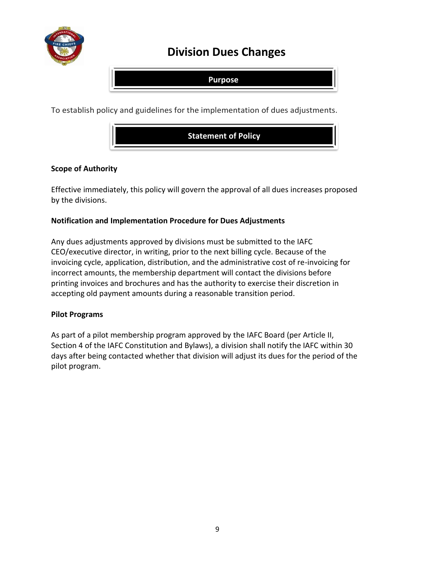

## **Division Dues Changes**

**Purpose**

To establish policy and guidelines for the implementation of dues adjustments.



### **Scope of Authority**

Effective immediately, this policy will govern the approval of all dues increases proposed by the divisions.

### **Notification and Implementation Procedure for Dues Adjustments**

Any dues adjustments approved by divisions must be submitted to the IAFC CEO/executive director, in writing, prior to the next billing cycle. Because of the invoicing cycle, application, distribution, and the administrative cost of re-invoicing for incorrect amounts, the membership department will contact the divisions before printing invoices and brochures and has the authority to exercise their discretion in accepting old payment amounts during a reasonable transition period.

#### **Pilot Programs**

As part of a pilot membership program approved by the IAFC Board (per Article II, Section 4 of the IAFC Constitution and Bylaws), a division shall notify the IAFC within 30 days after being contacted whether that division will adjust its dues for the period of the pilot program.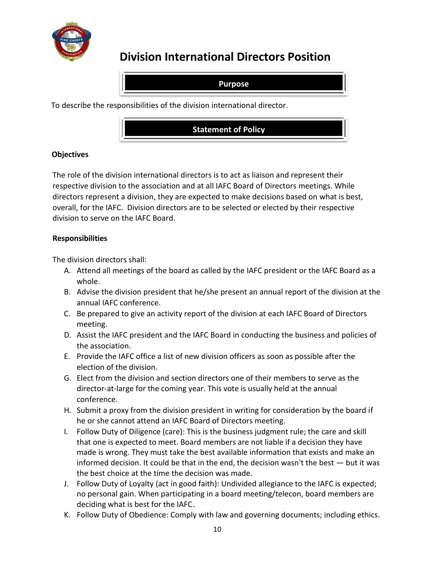

## **Division International Directors Position**

**Purpose**

To describe the responsibilities of the division international director.



## **Objectives**

The role of the division international directors is to act as liaison and represent their respective division to the association and at all IAFC Board of Directors meetings. While directors represent a division, they are expected to make decisions based on what is best, overall, for the IAFC. Division directors are to be selected or elected by their respective division to serve on the IAFC Board.

## **Responsibilities**

The division directors shall:

- A. Attend all meetings of the board as called by the IAFC president or the IAFC Board as a whole.
- B. Advise the division president that he/she present an annual report of the division at the annual IAFC conference.
- C. Be prepared to give an activity report of the division at each IAFC Board of Directors meeting.
- D. Assist the IAFC president and the IAFC Board in conducting the business and policies of the association.
- E. Provide the IAFC office a list of new division officers as soon as possible after the election of the division.
- G. Elect from the division and section directors one of their members to serve as the director-at-large for the coming year. This vote is usually held at the annual conference.
- H. Submit a proxy from the division president in writing for consideration by the board if he or she cannot attend an IAFC Board of Directors meeting.
- I. Follow Duty of Diligence (care): This is the business judgment rule; the care and skill that one is expected to meet. Board members are not liable if a decision they have made is wrong. They must take the best available information that exists and make an informed decision. It could be that in the end, the decision wasn't the best — but it was the best choice at the time the decision was made.
- J. Follow Duty of Loyalty (act in good faith): Undivided allegiance to the IAFC is expected; no personal gain. When participating in a board meeting/telecon, board members are deciding what is best for the IAFC
- K. Follow Duty of Obedience: Comply with law and governing documents; including ethics.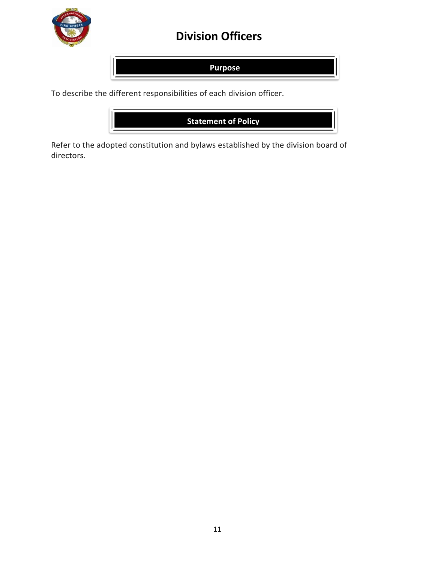

## **Division Officers**

**Purpose**

To describe the different responsibilities of each division officer.



Refer to the adopted constitution and bylaws established by the division board of directors.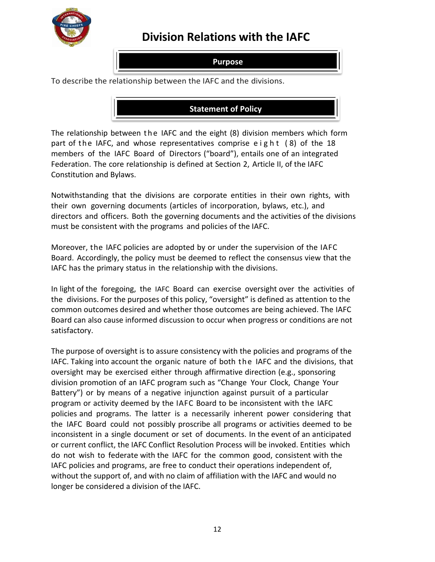

## **Division Relations with the IAFC**

## **Purpose**

To describe the relationship between the IAFC and the divisions.

## **Statement of Policy**

The relationship between the IAFC and the eight (8) division members which form part of the IAFC, and whose representatives comprise eight  $(8)$  of the 18 members of the IAFC Board of Directors ("board"), entails one of an integrated Federation. The core relationship is defined at Section 2, Article II, of the IAFC Constitution and Bylaws.

Notwithstanding that the divisions are corporate entities in their own rights, with their own governing documents (articles of incorporation, bylaws, etc.), and directors and officers. Both the governing documents and the activities of the divisions must be consistent with the programs and policies of the IAFC.

Moreover, the IAFC policies are adopted by or under the supervision of the IAFC Board. Accordingly, the policy must be deemed to reflect the consensus view that the IAFC has the primary status in the relationship with the divisions.

In light of the foregoing, the IAFC Board can exercise oversight over the activities of the divisions. For the purposes of this policy, "oversight" is defined as attention to the common outcomes desired and whether those outcomes are being achieved. The IAFC Board can also cause informed discussion to occur when progress or conditions are not satisfactory.

The purpose of oversight is to assure consistency with the policies and programs of the IAFC. Taking into account the organic nature of both the IAFC and the divisions, that oversight may be exercised either through affirmative direction (e.g., sponsoring division promotion of an IAFC program such as "Change Your Clock, Change Your Battery") or by means of a negative injunction against pursuit of a particular program or activity deemed by the IAFC Board to be inconsistent with the IAFC policies and programs. The latter is a necessarily inherent power considering that the IAFC Board could not possibly proscribe all programs or activities deemed to be inconsistent in a single document or set of documents. In the event of an anticipated or current conflict, the IAFC Conflict Resolution Process will be invoked. Entities which do not wish to federate with the IAFC for the common good, consistent with the IAFC policies and programs, are free to conduct their operations independent of, without the support of, and with no claim of affiliation with the IAFC and would no longer be considered a division of the IAFC.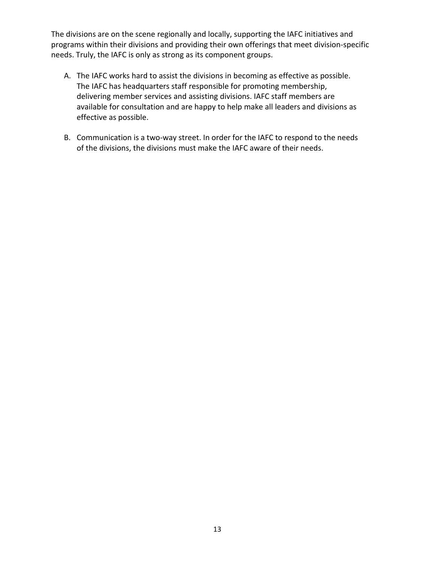The divisions are on the scene regionally and locally, supporting the IAFC initiatives and programs within their divisions and providing their own offerings that meet division-specific needs. Truly, the IAFC is only as strong as its component groups.

- A. The IAFC works hard to assist the divisions in becoming as effective as possible. The IAFC has headquarters staff responsible for promoting membership, delivering member services and assisting divisions. IAFC staff members are available for consultation and are happy to help make all leaders and divisions as effective as possible.
- B. Communication is a two-way street. In order for the IAFC to respond to the needs of the divisions, the divisions must make the IAFC aware of their needs.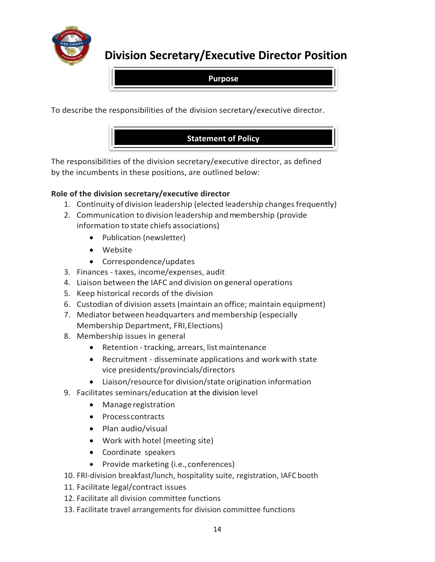

**Division Secretary/Executive Director Position**

**Purpose**

To describe the responsibilities of the division secretary/executive director.



The responsibilities of the division secretary/executive director, as defined by the incumbents in these positions, are outlined below:

## **Role of the division secretary/executive director**

- 1. Continuity of division leadership (elected leadership changes frequently)
- 2. Communication to division leadership and membership (provide information to state chiefs associations)
	- Publication (newsletter)
	- Website
	- Correspondence/updates
- 3. Finances taxes, income/expenses, audit
- 4. Liaison between the IAFC and division on general operations
- 5. Keep historical records of the division
- 6. Custodian of division assets (maintain an office; maintain equipment)
- 7. Mediator between headquarters and membership (especially Membership Department, FRI,Elections)
- 8. Membership issues in general
	- Retention tracking, arrears, list maintenance
	- Recruitment disseminate applications and workwith state vice presidents/provincials/directors
	- Liaison/resource for division/state origination information
- 9. Facilitates seminars/education at the division level
	- Manage registration
	- Process contracts
	- Plan audio/visual
	- Work with hotel (meeting site)
	- Coordinate speakers
	- Provide marketing (i.e., conferences)
- 10. FRI-division breakfast/lunch, hospitality suite, registration, IAFCbooth
- 11. Facilitate legal/contract issues
- 12. Facilitate all division committee functions
- 13. Facilitate travel arrangements for division committee functions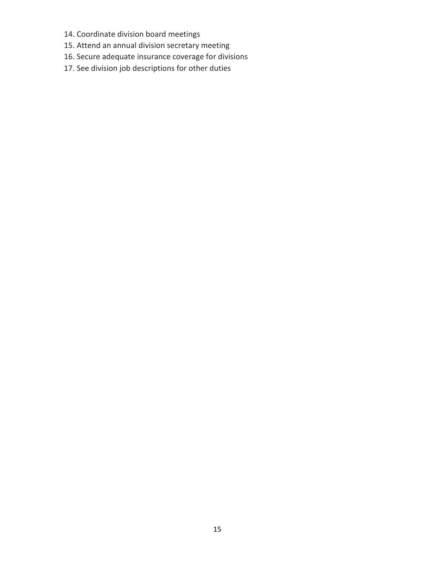- 14. Coordinate division board meetings
- 15. Attend an annual division secretary meeting
- 16. Secure adequate insurance coverage for divisions
- 17. See division job descriptions for other duties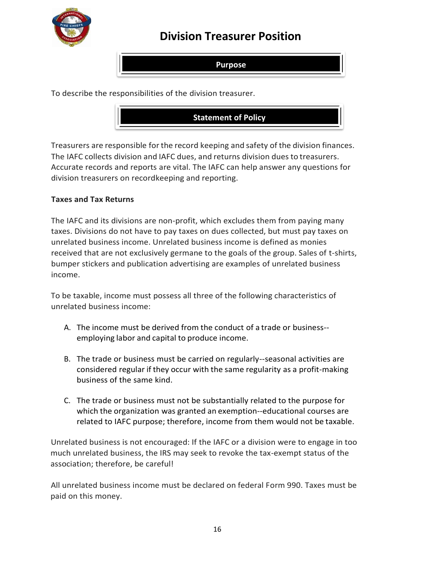

## **Division Treasurer Position**

**Purpose**

To describe the responsibilities of the division treasurer.

**Statement of Policy**

Treasurers are responsible forthe record keeping and safety of the division finances. The IAFC collects division and IAFC dues, and returns division dues to treasurers. Accurate records and reports are vital. The IAFC can help answer any questions for division treasurers on recordkeeping and reporting.

### **Taxes and Tax Returns**

The IAFC and its divisions are non-profit, which excludes them from paying many taxes. Divisions do not have to pay taxes on dues collected, but must pay taxes on unrelated business income. Unrelated business income is defined as monies received that are not exclusively germane to the goals of the group. Sales of t-shirts, bumper stickers and publication advertising are examples of unrelated business income.

To be taxable, income must possess all three of the following characteristics of unrelated business income:

- A. The income must be derived from the conduct of a trade or business- employing labor and capital to produce income.
- B. The trade or business must be carried on regularly--seasonal activities are considered regular if they occur with the same regularity as a profit-making business of the same kind.
- C. The trade or business must not be substantially related to the purpose for which the organization was granted an exemption--educational courses are related to IAFC purpose; therefore, income from them would not be taxable.

Unrelated business is not encouraged: If the IAFC or a division were to engage in too much unrelated business, the IRS may seek to revoke the tax-exempt status of the association; therefore, be careful!

All unrelated business income must be declared on federal Form 990. Taxes must be paid on this money.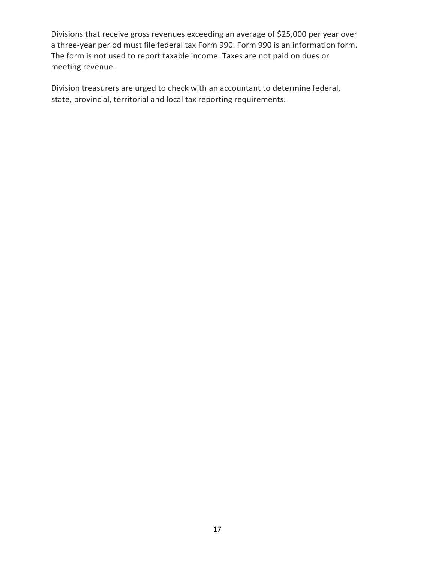Divisions that receive gross revenues exceeding an average of \$25,000 per year over a three-year period must file federal tax Form 990. Form 990 is an information form. The form is not used to report taxable income. Taxes are not paid on dues or meeting revenue.

Division treasurers are urged to check with an accountant to determine federal, state, provincial, territorial and local tax reporting requirements.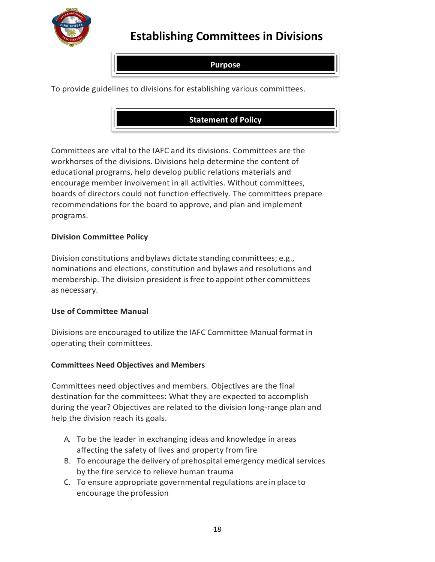

## **Establishing Committees in Divisions**

## **Purpose**

To provide guidelines to divisions for establishing various committees.

## **Statement of Policy**

Committees are vital to the IAFC and its divisions. Committees are the workhorses of the divisions. Divisions help determine the content of educational programs, help develop public relations materials and encourage member involvement in all activities. Without committees, boards of directors could not function effectively. The committees prepare recommendations for the board to approve, and plan and implement programs.

## **Division Committee Policy**

Division constitutions and bylaws dictate standing committees; e.g., nominations and elections, constitution and bylaws and resolutions and membership. The division president isfree to appoint other committees as necessary.

#### **Use of Committee Manual**

Divisions are encouraged to utilize the IAFC Committee Manual format in operating their committees.

## **Committees Need Objectives and Members**

Committees need objectives and members. Objectives are the final destination for the committees: What they are expected to accomplish during the year? Objectives are related to the division long-range plan and help the division reach its goals.

- A. To be the leader in exchanging ideas and knowledge in areas affecting the safety of lives and property from fire
- B. To encourage the delivery of prehospital emergency medical services by the fire service to relieve human trauma
- C. To ensure appropriate governmental regulations are in place to encourage the profession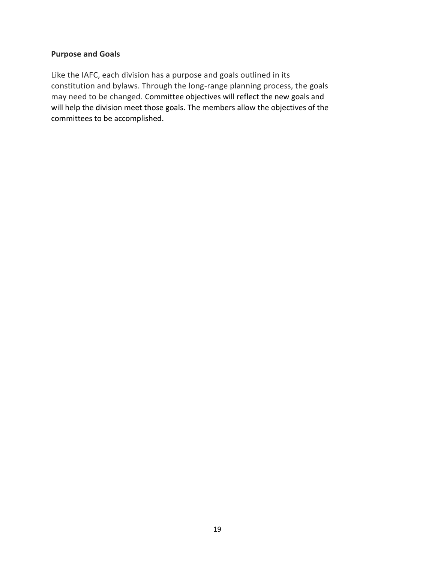## **Purpose and Goals**

Like the IAFC, each division has a purpose and goals outlined in its constitution and bylaws. Through the long-range planning process, the goals may need to be changed. Committee objectives will reflect the new goals and will help the division meet those goals. The members allow the objectives of the committees to be accomplished.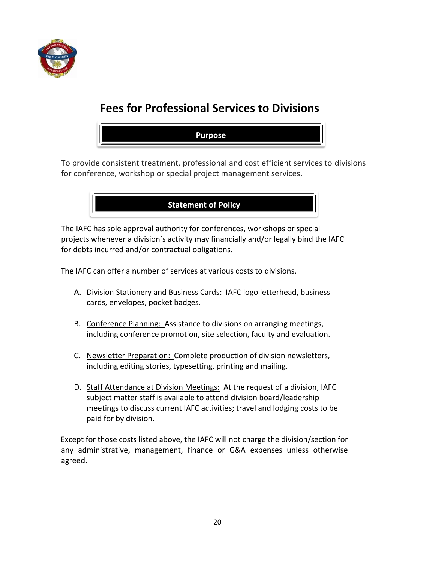

## **Fees for Professional Services to Divisions**

**Purpose**

To provide consistent treatment, professional and cost efficient services to divisions for conference, workshop or special project management services.



The IAFC has sole approval authority for conferences, workshops or special projects whenever a division's activity may financially and/or legally bind the IAFC for debts incurred and/or contractual obligations.

The IAFC can offer a number of services at various costs to divisions.

- A. Division Stationery and Business Cards: IAFC logo letterhead, business cards, envelopes, pocket badges.
- B. Conference Planning: Assistance to divisions on arranging meetings, including conference promotion, site selection, faculty and evaluation.
- C. Newsletter Preparation: Complete production of division newsletters, including editing stories, typesetting, printing and mailing.
- D. Staff Attendance at Division Meetings: At the request of a division, IAFC subject matter staff is available to attend division board/leadership meetings to discuss current IAFC activities; travel and lodging costs to be paid for by division.

Except for those costs listed above, the IAFC will not charge the division/section for any administrative, management, finance or G&A expenses unless otherwise agreed.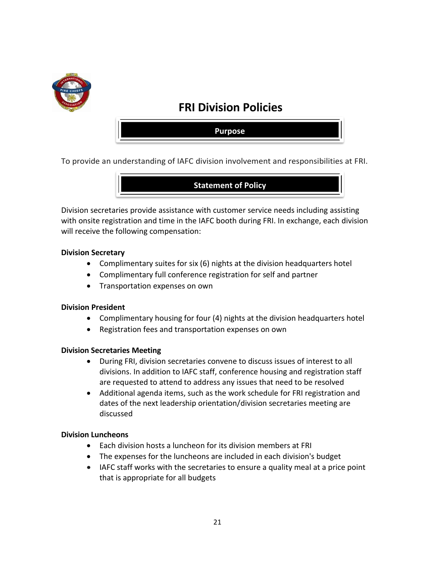

## **FRI Division Policies**

**Purpose**

To provide an understanding of IAFC division involvement and responsibilities at FRI.



Division secretaries provide assistance with customer service needs including assisting with onsite registration and time in the IAFC booth during FRI. In exchange, each division will receive the following compensation:

#### **Division Secretary**

- Complimentary suites for six (6) nights at the division headquarters hotel
- Complimentary full conference registration for self and partner
- Transportation expenses on own

#### **Division President**

- Complimentary housing for four (4) nights at the division headquarters hotel
- Registration fees and transportation expenses on own

#### **Division Secretaries Meeting**

- During FRI, division secretaries convene to discuss issues of interest to all divisions. In addition to IAFC staff, conference housing and registration staff are requested to attend to address any issues that need to be resolved
- Additional agenda items, such as the work schedule for FRI registration and dates of the next leadership orientation/division secretaries meeting are discussed

#### **Division Luncheons**

- Each division hosts a luncheon for its division members at FRI
- The expenses for the luncheons are included in each division's budget
- IAFC staff works with the secretaries to ensure a quality meal at a price point that is appropriate for all budgets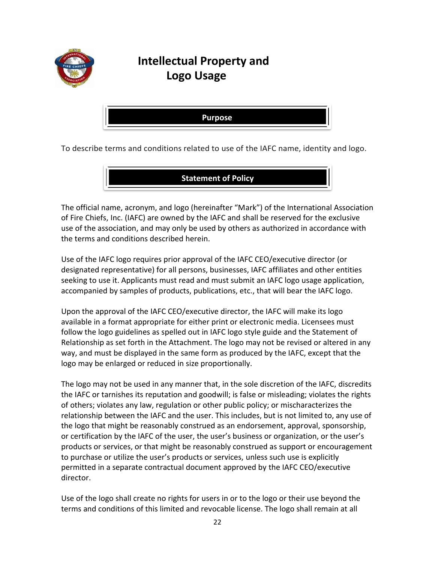

## **Intellectual Property and Logo Usage**

**Purpose**

To describe terms and conditions related to use of the IAFC name, identity and logo.

**Statement of Policy**

The official name, acronym, and logo (hereinafter "Mark") of the International Association of Fire Chiefs, Inc. (IAFC) are owned by the IAFC and shall be reserved for the exclusive use of the association, and may only be used by others as authorized in accordance with the terms and conditions described herein.

Use of the IAFC logo requires prior approval of the IAFC CEO/executive director (or designated representative) for all persons, businesses, IAFC affiliates and other entities seeking to use it. Applicants must read and must submit an IAFC logo usage application, accompanied by samples of products, publications, etc., that will bear the IAFC logo.

Upon the approval of the IAFC CEO/executive director, the IAFC will make its logo available in a format appropriate for either print or electronic media. Licensees must follow the logo guidelines as spelled out in IAFC logo style guide and the Statement of Relationship as set forth in the Attachment. The logo may not be revised or altered in any way, and must be displayed in the same form as produced by the IAFC, except that the logo may be enlarged or reduced in size proportionally.

The logo may not be used in any manner that, in the sole discretion of the IAFC, discredits the IAFC or tarnishes its reputation and goodwill; is false or misleading; violates the rights of others; violates any law, regulation or other public policy; or mischaracterizes the relationship between the IAFC and the user. This includes, but is not limited to, any use of the logo that might be reasonably construed as an endorsement, approval, sponsorship, or certification by the IAFC of the user, the user's business or organization, or the user's products or services, or that might be reasonably construed as support or encouragement to purchase or utilize the user's products or services, unless such use is explicitly permitted in a separate contractual document approved by the IAFC CEO/executive director.

Use of the logo shall create no rights for users in or to the logo or their use beyond the terms and conditions of this limited and revocable license. The logo shall remain at all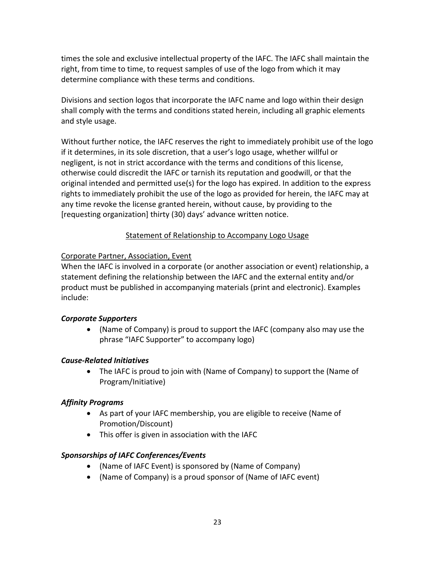times the sole and exclusive intellectual property of the IAFC. The IAFC shall maintain the right, from time to time, to request samples of use of the logo from which it may determine compliance with these terms and conditions.

Divisions and section logos that incorporate the IAFC name and logo within their design shall comply with the terms and conditions stated herein, including all graphic elements and style usage.

Without further notice, the IAFC reserves the right to immediately prohibit use of the logo if it determines, in its sole discretion, that a user's logo usage, whether willful or negligent, is not in strict accordance with the terms and conditions of this license, otherwise could discredit the IAFC or tarnish its reputation and goodwill, or that the original intended and permitted use(s) for the logo has expired. In addition to the express rights to immediately prohibit the use of the logo as provided for herein, the IAFC may at any time revoke the license granted herein, without cause, by providing to the [requesting organization] thirty (30) days' advance written notice.

## Statement of Relationship to Accompany Logo Usage

## Corporate Partner, Association, Event

When the IAFC is involved in a corporate (or another association or event) relationship, a statement defining the relationship between the IAFC and the external entity and/or product must be published in accompanying materials (print and electronic). Examples include:

## *Corporate Supporters*

 (Name of Company) is proud to support the IAFC (company also may use the phrase "IAFC Supporter" to accompany logo)

## *Cause-Related Initiatives*

 The IAFC is proud to join with (Name of Company) to support the (Name of Program/Initiative)

## *Affinity Programs*

- As part of your IAFC membership, you are eligible to receive (Name of Promotion/Discount)
- This offer is given in association with the IAFC

## *Sponsorships of IAFC Conferences/Events*

- (Name of IAFC Event) is sponsored by (Name of Company)
- (Name of Company) is a proud sponsor of (Name of IAFC event)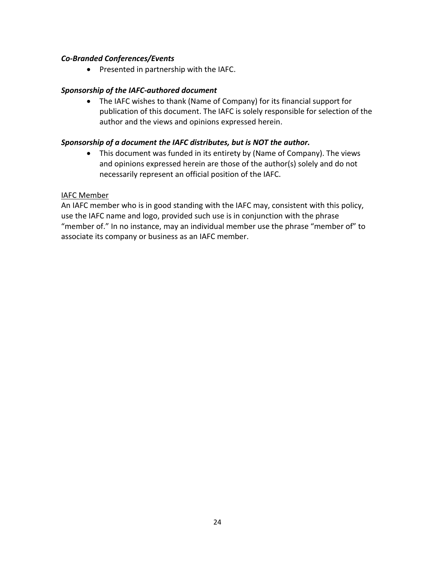### *Co-Branded Conferences/Events*

• Presented in partnership with the IAFC.

### *Sponsorship of the IAFC-authored document*

 The IAFC wishes to thank (Name of Company) for its financial support for publication of this document. The IAFC is solely responsible for selection of the author and the views and opinions expressed herein.

### *Sponsorship of a document the IAFC distributes, but is NOT the author.*

 This document was funded in its entirety by (Name of Company). The views and opinions expressed herein are those of the author(s) solely and do not necessarily represent an official position of the IAFC.

#### IAFC Member

An IAFC member who is in good standing with the IAFC may, consistent with this policy, use the IAFC name and logo, provided such use is in conjunction with the phrase "member of." In no instance, may an individual member use the phrase "member of" to associate its company or business as an IAFC member.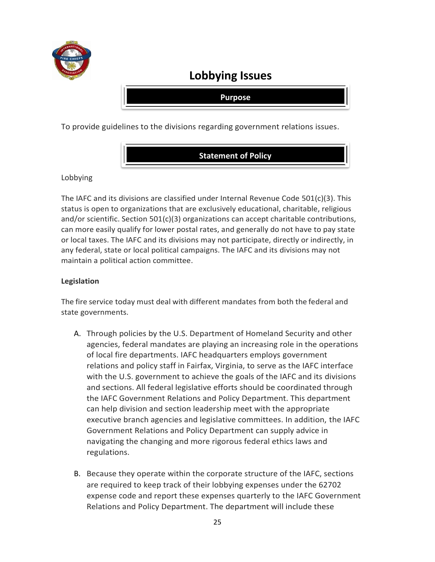

## **Lobbying Issues**

**Purpose**

To provide guidelines to the divisions regarding government relations issues.



Lobbying

The IAFC and its divisions are classified under Internal Revenue Code 501(c)(3). This status is open to organizations that are exclusively educational, charitable, religious and/or scientific. Section 501(c)(3) organizations can accept charitable contributions, can more easily qualify for lower postal rates, and generally do not have to pay state or local taxes. The IAFC and its divisions may not participate, directly or indirectly, in any federal, state or local political campaigns. The IAFC and its divisions may not maintain a political action committee.

### **Legislation**

The fire service today must deal with different mandates from both the federal and state governments.

- A. Through policies by the U.S. Department of Homeland Security and other agencies, federal mandates are playing an increasing role in the operations of local fire departments. IAFC headquarters employs government relations and policy staff in Fairfax, Virginia, to serve as the IAFC interface with the U.S. government to achieve the goals of the IAFC and its divisions and sections. All federal legislative efforts should be coordinated through the IAFC Government Relations and Policy Department. This department can help division and section leadership meet with the appropriate executive branch agencies and legislative committees. In addition, the IAFC Government Relations and Policy Department can supply advice in navigating the changing and more rigorous federal ethics laws and regulations.
- B. Because they operate within the corporate structure of the IAFC, sections are required to keep track of their lobbying expenses under the 62702 expense code and report these expenses quarterly to the IAFC Government Relations and Policy Department. The department will include these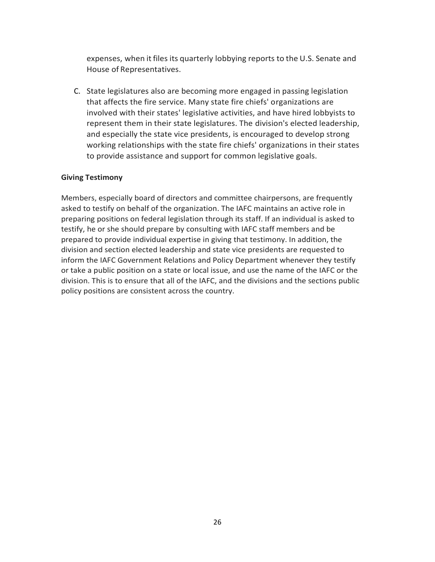expenses, when it files its quarterly lobbying reports to the U.S. Senate and House of Representatives.

C. State legislatures also are becoming more engaged in passing legislation that affects the fire service. Many state fire chiefs' organizations are involved with their states' legislative activities, and have hired lobbyists to represent them in their state legislatures. The division's elected leadership, and especially the state vice presidents, is encouraged to develop strong working relationships with the state fire chiefs' organizations in their states to provide assistance and support for common legislative goals.

#### **Giving Testimony**

Members, especially board of directors and committee chairpersons, are frequently asked to testify on behalf of the organization. The IAFC maintains an active role in preparing positions on federal legislation through its staff. If an individual is asked to testify, he or she should prepare by consulting with IAFC staff members and be prepared to provide individual expertise in giving that testimony. In addition, the division and section elected leadership and state vice presidents are requested to inform the IAFC Government Relations and Policy Department whenever they testify or take a public position on a state or local issue, and use the name of the IAFC or the division. This is to ensure that all of the IAFC, and the divisions and the sections public policy positions are consistent across the country.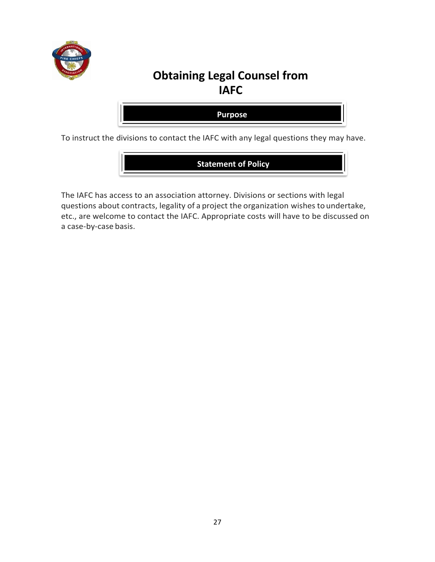

## **Obtaining Legal Counsel from IAFC**

**Purpose**

To instruct the divisions to contact the IAFC with any legal questions they may have.

**Statement of Policy**

The IAFC has access to an association attorney. Divisions or sections with legal questions about contracts, legality of a project the organization wishes to undertake, etc., are welcome to contact the IAFC. Appropriate costs will have to be discussed on a case-by-case basis.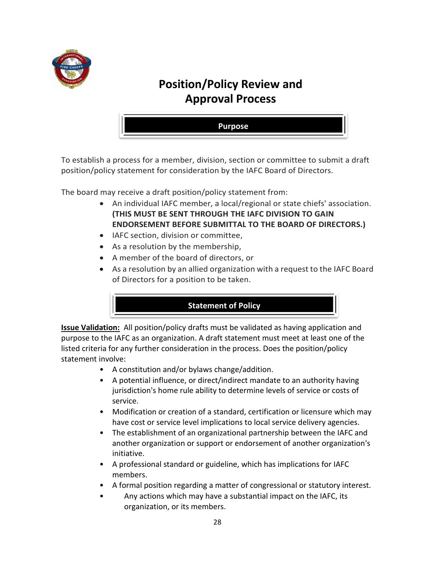

## **Position/Policy Review and Approval Process**



To establish a process for a member, division, section or committee to submit a draft position/policy statement for consideration by the IAFC Board of Directors.

The board may receive a draft position/policy statement from:

- An individual IAFC member, a local/regional or state chiefs' association. **(THIS MUST BE SENT THROUGH THE IAFC DIVISION TO GAIN ENDORSEMENT BEFORE SUBMITTAL TO THE BOARD OF DIRECTORS.)**
- IAFC section, division or committee,
- As a resolution by the membership,
- A member of the board of directors, or
- As a resolution by an allied organization with a request to the IAFC Board of Directors for a position to be taken.

## **Statement of Policy**

**Issue Validation:** All position/policy drafts must be validated as having application and purpose to the IAFC as an organization. A draft statement must meet at least one of the listed criteria for any further consideration in the process. Does the position/policy statement involve:

- A constitution and/or bylaws change/addition.
- A potential influence, or direct/indirect mandate to an authority having jurisdiction's home rule ability to determine levels of service or costs of service.
- Modification or creation of a standard, certification or licensure which may have cost or service level implications to local service delivery agencies.
- The establishment of an organizational partnership between the IAFC and another organization or support or endorsement of another organization's initiative.
- A professional standard or guideline, which has implications for IAFC members.
- A formal position regarding a matter of congressional or statutory interest.
- Any actions which may have a substantial impact on the IAFC, its organization, or its members.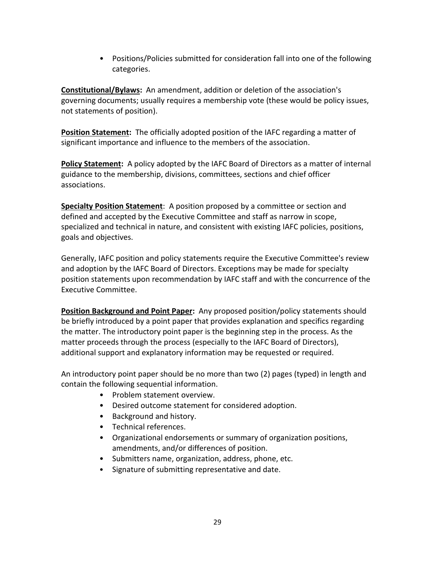• Positions/Policies submitted for consideration fall into one of the following categories.

**Constitutional/Bylaws:** An amendment, addition or deletion of the association's governing documents; usually requires a membership vote (these would be policy issues, not statements of position).

**Position Statement:** The officially adopted position of the IAFC regarding a matter of significant importance and influence to the members of the association.

**Policy Statement:** A policy adopted by the IAFC Board of Directors as a matter of internal guidance to the membership, divisions, committees, sections and chief officer associations.

**Specialty Position Statement**: A position proposed by a committee or section and defined and accepted by the Executive Committee and staff as narrow in scope, specialized and technical in nature, and consistent with existing IAFC policies, positions, goals and objectives.

Generally, IAFC position and policy statements require the Executive Committee's review and adoption by the IAFC Board of Directors. Exceptions may be made for specialty position statements upon recommendation by IAFC staff and with the concurrence of the Executive Committee.

**Position Background and Point Paper:** Any proposed position/policy statements should be briefly introduced by a point paper that provides explanation and specifics regarding the matter. The introductory point paper is the beginning step in the process. As the matter proceeds through the process (especially to the IAFC Board of Directors), additional support and explanatory information may be requested or required.

An introductory point paper should be no more than two (2) pages (typed) in length and contain the following sequential information.

- Problem statement overview.
- Desired outcome statement for considered adoption.
- Background and history.
- Technical references.
- Organizational endorsements or summary of organization positions, amendments, and/or differences of position.
- Submitters name, organization, address, phone, etc.
- Signature of submitting representative and date.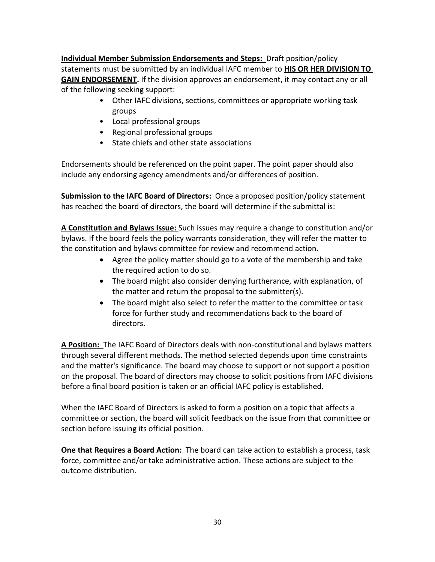**Individual Member Submission Endorsements and Steps:** Draft position/policy statements must be submitted by an individual IAFC member to **HIS OR HER DIVISION TO GAIN ENDORSEMENT.** If the division approves an endorsement, it may contact any or all of the following seeking support:

- Other IAFC divisions, sections, committees or appropriate working task groups
- Local professional groups
- Regional professional groups
- State chiefs and other state associations

Endorsements should be referenced on the point paper. The point paper should also include any endorsing agency amendments and/or differences of position.

**Submission to the IAFC Board of Directors:** Once a proposed position/policy statement has reached the board of directors, the board will determine if the submittal is:

**A Constitution and Bylaws Issue:** Such issues may require a change to constitution and/or bylaws. If the board feels the policy warrants consideration, they will refer the matter to the constitution and bylaws committee for review and recommend action.

- Agree the policy matter should go to a vote of the membership and take the required action to do so.
- The board might also consider denying furtherance, with explanation, of the matter and return the proposal to the submitter(s).
- The board might also select to refer the matter to the committee or task force for further study and recommendations back to the board of directors.

**A Position:** The IAFC Board of Directors deals with non-constitutional and bylaws matters through several different methods. The method selected depends upon time constraints and the matter's significance. The board may choose to support or not support a position on the proposal. The board of directors may choose to solicit positions from IAFC divisions before a final board position is taken or an official IAFC policy is established.

When the IAFC Board of Directors is asked to form a position on a topic that affects a committee or section, the board will solicit feedback on the issue from that committee or section before issuing its official position.

**One that Requires a Board Action:** The board can take action to establish a process, task force, committee and/or take administrative action. These actions are subject to the outcome distribution.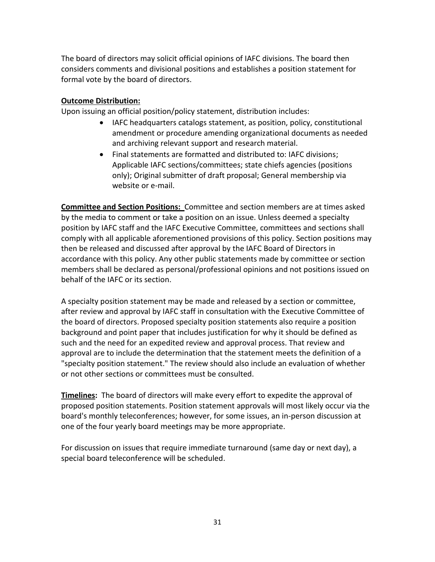The board of directors may solicit official opinions of IAFC divisions. The board then considers comments and divisional positions and establishes a position statement for formal vote by the board of directors.

### **Outcome Distribution:**

Upon issuing an official position/policy statement, distribution includes:

- IAFC headquarters catalogs statement, as position, policy, constitutional amendment or procedure amending organizational documents as needed and archiving relevant support and research material.
- Final statements are formatted and distributed to: IAFC divisions; Applicable IAFC sections/committees; state chiefs agencies (positions only); Original submitter of draft proposal; General membership via website or e-mail.

**Committee and Section Positions:** Committee and section members are at times asked by the media to comment or take a position on an issue. Unless deemed a specialty position by IAFC staff and the IAFC Executive Committee, committees and sections shall comply with all applicable aforementioned provisions of this policy. Section positions may then be released and discussed after approval by the IAFC Board of Directors in accordance with this policy. Any other public statements made by committee or section members shall be declared as personal/professional opinions and not positions issued on behalf of the IAFC or its section.

A specialty position statement may be made and released by a section or committee, after review and approval by IAFC staff in consultation with the Executive Committee of the board of directors. Proposed specialty position statements also require a position background and point paper that includes justification for why it should be defined as such and the need for an expedited review and approval process. That review and approval are to include the determination that the statement meets the definition of a "specialty position statement." The review should also include an evaluation of whether or not other sections or committees must be consulted.

**Timelines:** The board of directors will make every effort to expedite the approval of proposed position statements. Position statement approvals will most likely occur via the board's monthly teleconferences; however, for some issues, an in-person discussion at one of the four yearly board meetings may be more appropriate.

For discussion on issues that require immediate turnaround (same day or next day), a special board teleconference will be scheduled.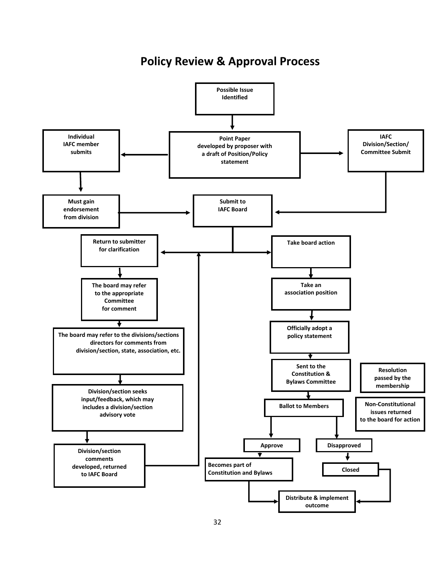**Policy Review & Approval Process**

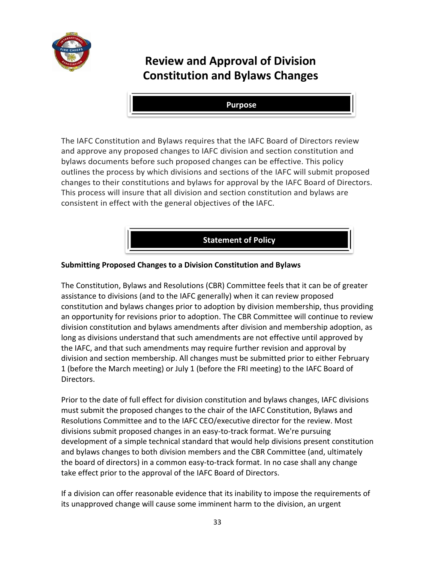

## **Review and Approval of Division Constitution and Bylaws Changes**

**Purpose**

The IAFC Constitution and Bylaws requires that the IAFC Board of Directors review and approve any proposed changes to IAFC division and section constitution and bylaws documents before such proposed changes can be effective. This policy outlines the process by which divisions and sections of the IAFC will submit proposed changes to their constitutions and bylaws for approval by the IAFC Board of Directors. This process will insure that all division and section constitution and bylaws are consistent in effect with the general objectives of the IAFC.

**Statement of Policy**

### **Submitting Proposed Changes to a Division Constitution and Bylaws**

The Constitution, Bylaws and Resolutions (CBR) Committee feels that it can be of greater assistance to divisions (and to the IAFC generally) when it can review proposed constitution and bylaws changes prior to adoption by division membership, thus providing an opportunity for revisions prior to adoption. The CBR Committee will continue to review division constitution and bylaws amendments after division and membership adoption, as long as divisions understand that such amendments are not effective until approved by the IAFC, and that such amendments may require further revision and approval by division and section membership. All changes must be submitted prior to either February 1 (before the March meeting) or July 1 (before the FRI meeting) to the IAFC Board of Directors.

Prior to the date of full effect for division constitution and bylaws changes, IAFC divisions must submit the proposed changes to the chair of the IAFC Constitution, Bylaws and Resolutions Committee and to the IAFC CEO/executive director for the review. Most divisions submit proposed changes in an easy-to-track format. We're pursuing development of a simple technical standard that would help divisions present constitution and bylaws changes to both division members and the CBR Committee (and, ultimately the board of directors) in a common easy-to-track format. In no case shall any change take effect prior to the approval of the IAFC Board of Directors.

If a division can offer reasonable evidence that its inability to impose the requirements of its unapproved change will cause some imminent harm to the division, an urgent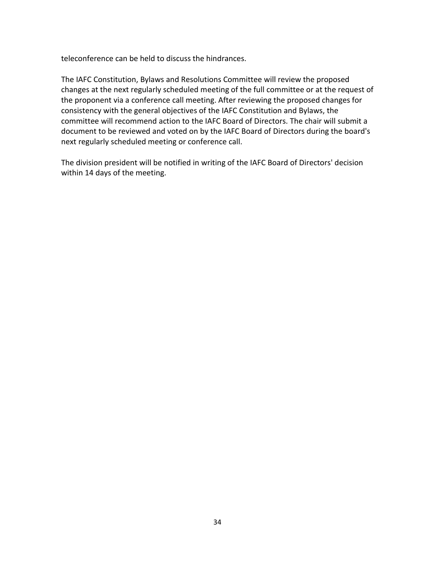teleconference can be held to discuss the hindrances.

The IAFC Constitution, Bylaws and Resolutions Committee will review the proposed changes at the next regularly scheduled meeting of the full committee or at the request of the proponent via a conference call meeting. After reviewing the proposed changes for consistency with the general objectives of the IAFC Constitution and Bylaws, the committee will recommend action to the IAFC Board of Directors. The chair will submit a document to be reviewed and voted on by the IAFC Board of Directors during the board's next regularly scheduled meeting or conference call.

The division president will be notified in writing of the IAFC Board of Directors' decision within 14 days of the meeting.